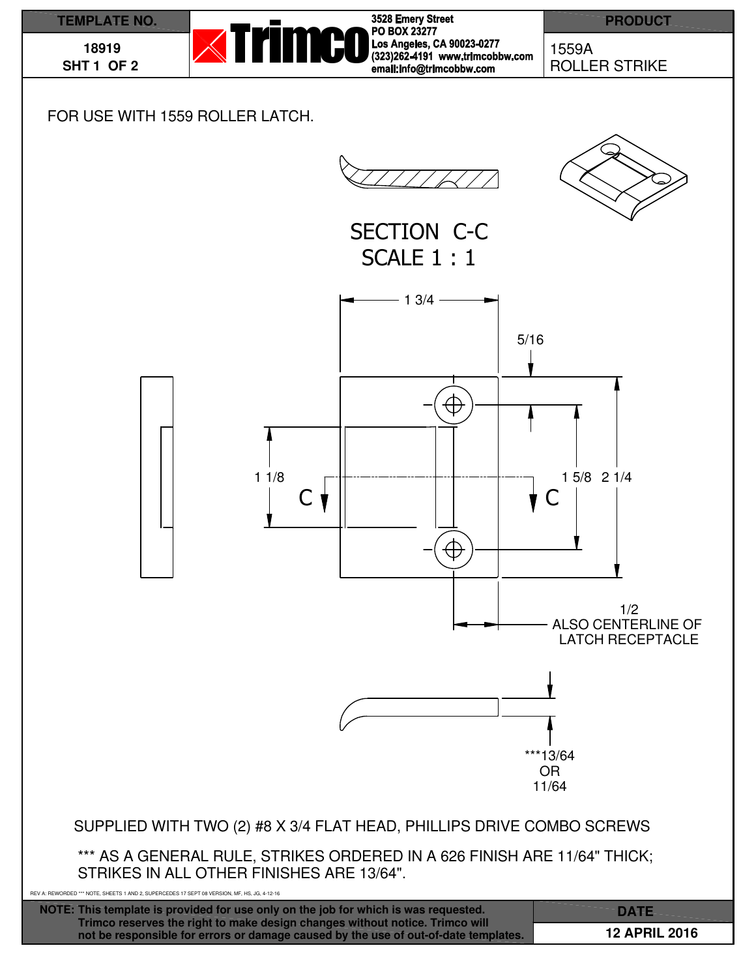